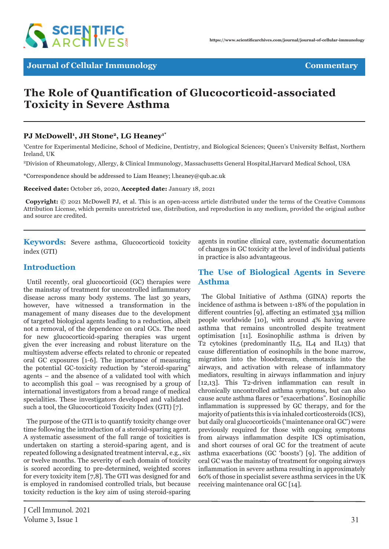

#### *Journal of Cellular Immunology* **Commentary**

# **The Role of Quantification of Glucocorticoid-associated Toxicity in Severe Asthma**

### **PJ McDowell1 , JH Stone2, LG Heaney1\***

1 Centre for Experimental Medicine, School of Medicine, Dentistry, and Biological Sciences; Queen's University Belfast, Northern Ireland, UK

2 Division of Rheumatology, Allergy, & Clinical Immunology, Massachusetts General Hospital,Harvard Medical School, USA

\*Correspondence should be addressed to Liam Heaney; l.heaney@qub.ac.uk

**Received date:** October 26, 2020, **Accepted date:** January 18, 2021

 **Copyright:** © 2021 McDowell PJ, et al. This is an open-access article distributed under the terms of the Creative Commons Attribution License, which permits unrestricted use, distribution, and reproduction in any medium, provided the original author and source are credited.

**Keywords:** Severe asthma, Glucocorticoid toxicity index (GTI)

#### **Introduction**

Until recently, oral glucocorticoid (GC) therapies were the mainstay of treatment for uncontrolled inflammatory disease across many body systems. The last 30 years, however, have witnessed a transformation in the management of many diseases due to the development of targeted biological agents leading to a reduction, albeit not a removal, of the dependence on oral GCs. The need for new glucocorticoid-sparing therapies was urgent given the ever increasing and robust literature on the multisystem adverse effects related to chronic or repeated oral GC exposures [1-6]. The importance of measuring the potential GC-toxicity reduction by "steroid-sparing" agents – and the absence of a validated tool with which to accomplish this goal – was recognised by a group of international investigators from a broad range of medical specialities. These investigators developed and validated such a tool, the Glucocorticoid Toxicity Index (GTI) [7].

The purpose of the GTI is to quantify toxicity change over time following the introduction of a steroid-sparing agent. A systematic assessment of the full range of toxicities is undertaken on starting a steroid-sparing agent, and is repeated following a designated treatment interval, e.g., six or twelve months. The severity of each domain of toxicity is scored according to pre-determined, weighted scores for every toxicity item [7,8]. The GTI was designed for and is employed in randomised controlled trials, but because toxicity reduction is the key aim of using steroid-sparing agents in routine clinical care, systematic documentation of changes in GC toxicity at the level of individual patients in practice is also advantageous.

#### **The Use of Biological Agents in Severe Asthma**

The Global Initiative of Asthma (GINA) reports the incidence of asthma is between 1-18% of the population in different countries [9], affecting an estimated 334 million people worldwide [10], with around 4% having severe asthma that remains uncontrolled despite treatment optimisation [11]. Eosinophilic asthma is driven by T2 cytokines (predominantly IL5, IL4 and IL13) that cause differentiation of eosinophils in the bone marrow, migration into the bloodstream, chemotaxis into the airways, and activation with release of inflammatory mediators, resulting in airways inflammation and injury [12,13]. This T2-driven inflammation can result in chronically uncontrolled asthma symptoms, but can also cause acute asthma flares or "exacerbations". Eosinophilic inflammation is suppressed by GC therapy, and for the majority of patients this is via inhaled corticosteroids (ICS), but daily oral glucocorticoids ('maintenance oral GC') were previously required for those with ongoing symptoms from airways inflammation despite ICS optimisation, and short courses of oral GC for the treatment of acute asthma exacerbations (GC 'boosts') [9]. The addition of oral GC was the mainstay of treatment for ongoing airways inflammation in severe asthma resulting in approximately 60% of those in specialist severe asthma services in the UK receiving maintenance oral GC [14].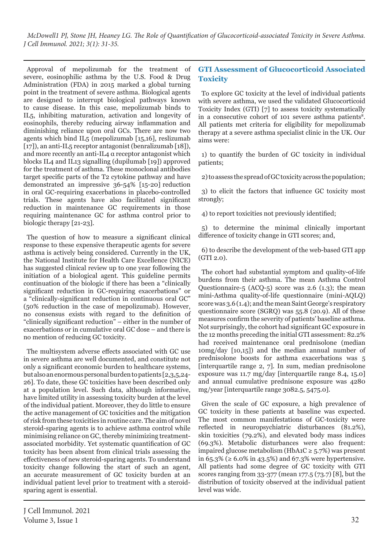Approval of mepolizumab for the treatment of severe, eosinophilic asthma by the U.S. Food & Drug Administration (FDA) in 2015 marked a global turning point in the treatment of severe asthma. Biological agents are designed to interrupt biological pathways known to cause disease. In this case, mepolizumab binds to IL5, inhibiting maturation, activation and longevity of eosinophils, thereby reducing airway inflammation and diminishing reliance upon oral GCs. There are now two agents which bind IL5 (mepolizumab [15,16], reslizumab [17]), an anti-IL5 receptor antagonist (benralizumab [18]), and more recently an anti-IL4 α receptor antagonist which blocks IL4 and IL13 signalling (dupilumab [19]) approved for the treatment of asthma. These monoclonal antibodies target specific parts of the T2 cytokine pathway and have demonstrated an impressive 36-54% [15-20] reduction in oral GC-requiring exacerbations in placebo-controlled trials. These agents have also facilitated significant reduction in maintenance GC requirements in those requiring maintenance GC for asthma control prior to biologic therapy [21-23].

The question of how to measure a significant clinical response to these expensive therapeutic agents for severe asthma is actively being considered. Currently in the UK, the National Institute for Health Care Excellence (NICE) has suggested clinical review up to one year following the initiation of a biological agent. This guideline permits continuation of the biologic if there has been a "clinically significant reduction in GC-requiring exacerbations" or a "clinically-significant reduction in continuous oral GC" (50% reduction in the case of mepolizumab). However, no consensus exists with regard to the definition of "clinically significant reduction" – either in the number of exacerbations or in cumulative oral GC dose – and there is no mention of reducing GC toxicity.

The multisystem adverse effects associated with GC use in severe asthma are well documented, and constitute not only a significant economic burden to healthcare systems, but also an enormous personal burden to patients [2,3,5,24- 26]. To date, these GC toxicities have been described only at a population level. Such data, although informative, have limited utility in assessing toxicity burden at the level of the individual patient. Moreover, they do little to ensure the active management of GC toxicities and the mitigation of risk from these toxicities in routine care. The aim of novel steroid-sparing agents is to achieve asthma control while minimising reliance on GC, thereby minimizing treatmentassociated morbidity. Yet systematic quantification of GC toxicity has been absent from clinical trials assessing the effectiveness of new steroid-sparing agents. To understand toxicity change following the start of such an agent, an accurate measurement of GC toxicity burden at an individual patient level prior to treatment with a steroidsparing agent is essential.

# **GTI Assessment of Glucocorticoid Associated Toxicity**

To explore GC toxicity at the level of individual patients with severe asthma, we used the validated Glucocorticoid Toxicity Index (GTI) [7] to assess toxicity systematically in a consecutive cohort of 101 severe asthma patients<sup>8</sup>. All patients met criteria for eligibility for mepolizumab therapy at a severe asthma specialist clinic in the UK. Our aims were:

1) to quantify the burden of GC toxicity in individual patients;

2) to assess the spread of GC toxicity across the population;

3) to elicit the factors that influence GC toxicity most strongly;

4) to report toxicities not previously identified;

5) to determine the minimal clinically important difference of toxicity change in GTI scores; and,

6) to describe the development of the web-based GTI app (GTI 2.0).

The cohort had substantial symptom and quality-of-life burdens from their asthma. The mean Asthma Control Questionnaire-5 (ACQ-5) score was 2.6 (1.3); the mean mini-Asthma quality-of-life questionnaire (mini-AQLQ) score was 3.6 (1.4); and the mean Saint George's respiratory questionnaire score (SGRQ) was 55.8 (20.9). All of these measures confirm the severity of patients' baseline asthma. Not surprisingly, the cohort had significant GC exposure in the 12 months preceding the initial GTI assessment: 82.2% had received maintenance oral prednisolone (median 10mg/day [10,15]) and the median annual number of prednisolone boosts for asthma exacerbations was 5 [interquartile range 2, 7]. In sum, median prednisolone exposure was 11.7 mg/day [interquartile range 8.4, 15.0] and annual cumulative prednisone exposure was 4280 mg/year [interquartile range 3082.5, 5475.0].

Given the scale of GC exposure, a high prevalence of GC toxicity in these patients at baseline was expected. The most common manifestations of GC-toxicity were reflected in neuropsychiatric disturbances (81.2%), skin toxicities (79.2%), and elevated body mass indices (69.3%). Metabolic disturbances were also frequent: impaired glucose metabolism (HbA1C  $\geq$  5.7%) was present in 65.3% (≥ 6.0% in 43.5%) and 67.3% were hypertensive. All patients had some degree of GC toxicity with GTI scores ranging from 33-377 (mean 177.5 (73.7) [8], but the distribution of toxicity observed at the individual patient level was wide.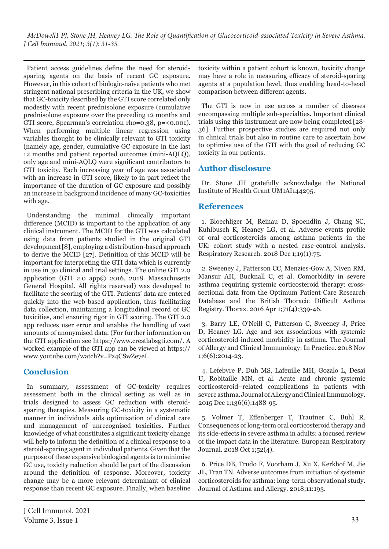Patient access guidelines define the need for steroidsparing agents on the basis of recent GC exposure. However, in this cohort of biologic-naïve patients who met stringent national prescribing criteria in the UK, we show that GC-toxicity described by the GTI score correlated only modestly with recent prednisolone exposure (cumulative prednisolone exposure over the preceding 12 months and GTI score, Spearman's correlation rho=0.38, p=<0.001). When performing multiple linear regression using variables thought to be clinically relevant to GTI toxicity (namely age, gender, cumulative GC exposure in the last 12 months and patient reported outcomes (mini-AQLQ), only age and mini-AQLQ were significant contributors to GTI toxicity. Each increasing year of age was associated with an increase in GTI score, likely to in part reflect the importance of the duration of GC exposure and possibly an increase in background incidence of many GC-toxicities with age.

Understanding the minimal clinically important difference (MCID) is important to the application of any clinical instrument. The MCID for the GTI was calculated using data from patients studied in the original GTI development[8], employing a distribution-based approach to derive the MCID [27]. Definition of this MCID will be important for interpreting the GTI data which is currently in use in 30 clinical and trial settings. The online GTI 2.0 application (GTI 2.0 app© 2016, 2018. Massachusetts General Hospital. All rights reserved) was developed to facilitate the scoring of the GTI. Patients' data are entered quickly into the web-based application, thus facilitating data collection, maintaining a longitudinal record of GC toxicities, and ensuring rigor in GTI scoring. The GTI 2.0 app reduces user error and enables the handling of vast amounts of anonymised data. (For further information on the GTI application see https://www.crestlabsgti.com/. A worked example of the GTI app can be viewed at https:// www.youtube.com/watch?v=Pz4CSwZe7eI.

# **Conclusion**

In summary, assessment of GC-toxicity requires assessment both in the clinical setting as well as in trials designed to assess GC reduction with steroidsparing therapies. Measuring GC-toxicity in a systematic manner in individuals aids optimisation of clinical care and management of unrecognised toxicities. Further knowledge of what constitutes a significant toxicity change will help to inform the definition of a clinical response to a steroid-sparing agent in individual patients. Given that the purpose of these expensive biological agents is to minimise GC use, toxicity reduction should be part of the discussion around the definition of response. Moreover, toxicity change may be a more relevant determinant of clinical response than recent GC exposure. Finally, when baseline

J Cell Immunol. 2021 Volume 3, Issue 1

toxicity within a patient cohort is known, toxicity change may have a role in measuring efficacy of steroid-sparing agents at a population level, thus enabling head-to-head comparison between different agents.

The GTI is now in use across a number of diseases encompassing multiple sub-specialties. Important clinical trials using this instrument are now being completed [28- 36]. Further prospective studies are required not only in clinical trials but also in routine care to ascertain how to optimise use of the GTI with the goal of reducing GC toxicity in our patients.

# **Author disclosure**

Dr. Stone JH gratefully acknowledge the National Institute of Health Grant UM1AI144295.

# **References**

1. Bloechliger M, Reinau D, Spoendlin J, Chang SC, Kuhlbusch K, Heaney LG, et al. Adverse events profile of oral corticosteroids among asthma patients in the UK: cohort study with a nested case-control analysis. Respiratory Research. 2018 Dec 1;19(1):75.

2. Sweeney J, Patterson CC, Menzies-Gow A, Niven RM, Mansur AH, Bucknall C, et al. Comorbidity in severe asthma requiring systemic corticosteroid therapy: crosssectional data from the Optimum Patient Care Research Database and the British Thoracic Difficult Asthma Registry. Thorax. 2016 Apr 1;71(4):339-46.

3. Barry LE, O'Neill C, Patterson C, Sweeney J, Price D, Heaney LG. Age and sex associations with systemic corticosteroid-induced morbidity in asthma. The Journal of Allergy and Clinical Immunology: In Practice. 2018 Nov 1;6(6):2014-23.

4. Lefebvre P, Duh MS, Lafeuille MH, Gozalo L, Desai U, Robitaille MN, et al. Acute and chronic systemic corticosteroid–related complications in patients with severe asthma. Journal of Allergy and Clinical Immunology. 2015 Dec 1;136(6):1488-95.

5. Volmer T, Effenberger T, Trautner C, Buhl R. Consequences of long-term oral corticosteroid therapy and its side-effects in severe asthma in adults: a focused review of the impact data in the literature. European Respiratory Journal. 2018 Oct 1;52(4).

6. Price DB, Trudo F, Voorham J, Xu X, Kerkhof M, Jie JL, Tran TN. Adverse outcomes from initiation of systemic corticosteroids for asthma: long-term observational study. Journal of Asthma and Allergy. 2018;11:193.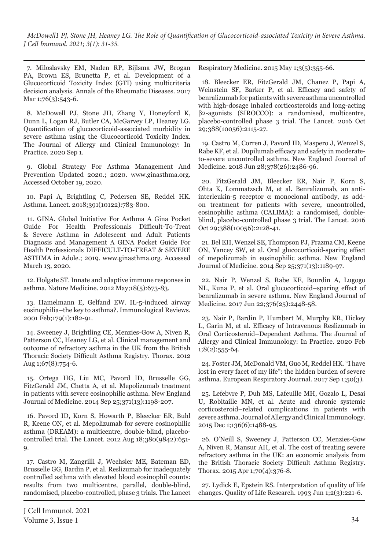7. Miloslavsky EM, Naden RP, Bijlsma JW, Brogan PA, Brown ES, Brunetta P, et al. Development of a Glucocorticoid Toxicity Index (GTI) using multicriteria decision analysis. Annals of the Rheumatic Diseases. 2017 Mar 1;76(3):543-6.

8. McDowell PJ, Stone JH, Zhang Y, Honeyford K, Dunn L, Logan RJ, Butler CA, McGarvey LP, Heaney LG. Quantification of glucocorticoid-associated morbidity in severe asthma using the Glucocorticoid Toxicity Index. The Journal of Allergy and Clinical Immunology: In Practice. 2020 Sep 1.

9. Global Strategy For Asthma Management And Prevention Updated 2020.; 2020. www.ginasthma.org. Accessed October 19, 2020.

10. Papi A, Brightling C, Pedersen SE, Reddel HK. Asthma. Lancet. 2018;391(10122):783-800.

11. GINA. Global Initiative For Asthma A Gina Pocket Guide For Health Professionals Difficult-To-Treat & Severe Asthma in Adolescent and Adult Patients Diagnosis and Management A GINA Pocket Guide For Health Professionals DIFFICULT-TO-TREAT & SEVERE ASTHMA in Adole.; 2019. www.ginasthma.org. Accessed March 13, 2020.

12. Holgate ST. Innate and adaptive immune responses in asthma. Nature Medicine. 2012 May;18(5):673-83.

13. Hamelmann E, Gelfand EW. IL-5-induced airway eosinophilia–the key to asthma?. Immunological Reviews. 2001 Feb;179(1):182-91.

14. Sweeney J, Brightling CE, Menzies-Gow A, Niven R, Patterson CC, Heaney LG, et al. Clinical management and outcome of refractory asthma in the UK from the British Thoracic Society Difficult Asthma Registry. Thorax. 2012 Aug 1;67(8):754-6.

15. Ortega HG, Liu MC, Pavord ID, Brusselle GG, FitzGerald JM, Chetta A, et al. Mepolizumab treatment in patients with severe eosinophilic asthma. New England Journal of Medicine. 2014 Sep 25;371(13):1198-207.

16. Pavord ID, Korn S, Howarth P, Bleecker ER, Buhl R, Keene ON, et al. Mepolizumab for severe eosinophilic asthma (DREAM): a multicentre, double-blind, placebocontrolled trial. The Lancet. 2012 Aug 18;380(9842):651- 9.

17. Castro M, Zangrilli J, Wechsler ME, Bateman ED, Brusselle GG, Bardin P, et al. Reslizumab for inadequately controlled asthma with elevated blood eosinophil counts: results from two multicentre, parallel, double-blind, randomised, placebo-controlled, phase 3 trials. The Lancet Respiratory Medicine. 2015 May 1;3(5):355-66.

18. Bleecker ER, FitzGerald JM, Chanez P, Papi A, Weinstein SF, Barker P, et al. Efficacy and safety of benralizumab for patients with severe asthma uncontrolled with high-dosage inhaled corticosteroids and long-acting β2-agonists (SIROCCO): a randomised, multicentre, placebo-controlled phase 3 trial. The Lancet. 2016 Oct 29;388(10056):2115-27.

19. Castro M, Corren J, Pavord ID, Maspero J, Wenzel S, Rabe KF, et al. Dupilumab efficacy and safety in moderateto-severe uncontrolled asthma. New England Journal of Medicine. 2018 Jun 28;378(26):2486-96.

20. FitzGerald JM, Bleecker ER, Nair P, Korn S, Ohta K, Lommatzsch M, et al. Benralizumab, an antiinterleukin-5 receptor α monoclonal antibody, as addon treatment for patients with severe, uncontrolled, eosinophilic asthma (CALIMA): a randomised, doubleblind, placebo-controlled phase 3 trial. The Lancet. 2016 Oct 29;388(10056):2128-41.

21. Bel EH, Wenzel SE, Thompson PJ, Prazma CM, Keene ON, Yancey SW, et al. Oral glucocorticoid-sparing effect of mepolizumab in eosinophilic asthma. New England Journal of Medicine. 2014 Sep 25;371(13):1189-97.

22. Nair P, Wenzel S, Rabe KF, Bourdin A, Lugogo NL, Kuna P, et al. Oral glucocorticoid–sparing effect of benralizumab in severe asthma. New England Journal of Medicine. 2017 Jun 22;376(25):2448-58.

23. Nair P, Bardin P, Humbert M, Murphy KR, Hickey L, Garin M, et al. Efficacy of Intravenous Reslizumab in Oral Corticosteroid–Dependent Asthma. The Journal of Allergy and Clinical Immunology: In Practice. 2020 Feb 1;8(2):555-64.

24. Foster JM, McDonald VM, Guo M, Reddel HK. "I have lost in every facet of my life": the hidden burden of severe asthma. European Respiratory Journal. 2017 Sep 1;50(3).

25. Lefebvre P, Duh MS, Lafeuille MH, Gozalo L, Desai U, Robitaille MN, et al. Acute and chronic systemic corticosteroid–related complications in patients with severe asthma. Journal of Allergy and Clinical Immunology. 2015 Dec 1;136(6):1488-95.

26. O'Neill S, Sweeney J, Patterson CC, Menzies-Gow A, Niven R, Mansur AH, et al. The cost of treating severe refractory asthma in the UK: an economic analysis from the British Thoracic Society Difficult Asthma Registry. Thorax. 2015 Apr 1;70(4):376-8.

27. Lydick E, Epstein RS. Interpretation of quality of life changes. Quality of Life Research. 1993 Jun 1;2(3):221-6.